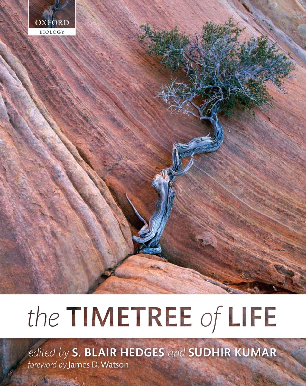

# the TIMETREE of LIFE

edited by S. BLAIR HEDGES and SUDHIR KUMAR foreword by James D. Watson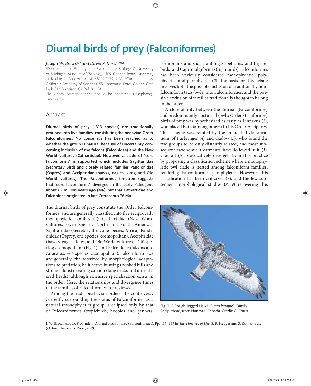# Diurnal birds of prey (Falconiformes)

#### *Joseph W. Brown*a,*\* and David P. Mindell*a,b

a Department of Ecology and Evolutionary Biology & University of Michigan Museum of Zoology, 1109 Geddes Road, University of Michigan, Ann Arbor, MI 48109-1079, USA; <sup>b</sup>Current address: California Academy of Sciences, 55 Concourse Drive Golden Gate Park, San Francisco, CA 94118, USA

\*To whom correspondence should be addressed (josephwb@ umich.edu)

# Abstract

Diurnal birds of prey (~313 species) are traditionally grouped into five families, constituting the neoavian Order Falconiformes. No consensus has been reached as to whether the group is natural because of uncertainty concerning inclusion of the falcons (Falconidae) and the New World vultures (Cathartidae). However, a clade of "core falconiforms" is supported which includes Sagittariidae (Secretary Bird) and closely related families Pandionidae (Osprey) and Accipitridae (hawks, eagles, kites, and Old World vultures). The Falconiformes timetree suggests that "core falconiforms" diverged in the early Paleogene about 62 million years ago (Ma), but that Cathartidae and Falconidae originated in late Cretaceous 76 Ma.

The diurnal birds of prey constitute the Order Falconiformes, and are generally classified into five reciprocally monophyletic families (*1*): Cathartidae (New World vultures, seven species; North and South America), Sagittariidae (Secretary Bird, one species; Africa), Pandionidae (Osprey, one species; cosmopolitan), Accipitridae (hawks, eagles, kites, and Old World vultures, ~240 species; cosmopolitan) (Fig. 1), and Falconidae (falcons and caracaras, ~64 species; cosmopolitan). Falconiform taxa are generally characterized by morphological adaptations to predation, be it active hunting (hooked bills and strong talons) or eating carrion (long necks and unfeathered heads), although extensive specialization exists in the order. Here, the relationships and divergence times of the families of Falconiformes are reviewed.

Among the traditional avian orders, the controversy currently surrounding the status of Falconiformes as a natural (monophyletic) group is eclipsed only by that of Pelecaniformes (tropicbirds, boobies and gannets,

cormorants and shags, anhingas, pelicans, and frigatebirds) and Caprimulgiformes (nightbirds). Falconiformes has been variously considered monophyletic, polyphyletic, and paraphyletic (2). The basis for this debate involves both the possible inclusion of traditionally non falconiform taxa (owls) into Falconiformes, and the possible exclusion of families traditionally thought to belong to the order.

A close affinity between the diurnal (Falconiformes) and predominantly nocturnal (owls; Order Strigiformes) birds of prey was hypothesized as early as Linnaeus (*3*), who placed both (among others) in his Order Accipitres. This scheme was refuted by the influential classifications of Fürbringer (4) and Gadow (5), who found the two groups to be only distantly related, and most subsequent taxonomic treatments have followed suit (*1*). Cracraft (6) provocatively diverged from this practice by proposing a classification scheme where a monophyletic owl clade is nested among falconiform families, rendering Falconiformes paraphyletic. However, this classification has been criticized  $(7)$ , and the few subsequent morphological studies (*8, 9*) recovering this



Fig. 1 A Rough-legged Hawk (*Buteo lagopus*), Family Accipitridae, from Nunavut, Canada. Credit: G. Court.

J. W. Brown and D. P. Mindell. Diurnal birds of prey (Falconiformes). Pp. 436-439 in *The Timetree of Life*, S. B. Hedges and S. Kumar, Eds. (Oxford University Press, 2009).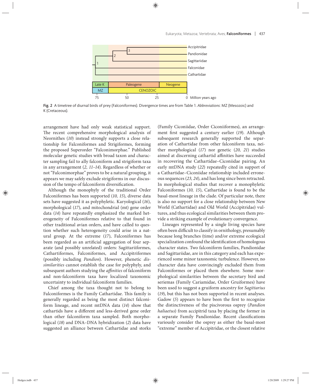

Fig. 2 A timetree of diurnal birds of prey (Falconiformes). Divergence times are from Table 1. *Abbreviations*: MZ (Mesozoic) and K (Cretaceous).

arrangement have had only weak statistical support. The recent comprehensive morphological analysis of Neornithes (10) instead strongly supports a close relationship for Falconiformes and Strigiformes, forming the proposed Superorder "Falconimorphae." Published molecular genetic studies with broad taxon and character sampling fail to ally falconiform and strigiform taxa in any arrangement (*2, 11–14*). Regardless of whether or not "Falconimorphae" proves to be a natural grouping, it appears we may safely exclude strigiforms in our discussion of the tempo of falconiform diversification.

Although the monophyly of the traditional Order Falconiformes has been supported (*10, 15*), diverse data sets have suggested it as polyphyletic. Karyological (*16*), morphological (*17*), and mitochondrial (mt) gene order data (*14*) have repeatedly emphasized the marked heterogeneity of Falconiformes relative to that found in other traditional avian orders, and have called to question whether such heterogeneity could arise in a natural group. At the extreme (*17*), Falconiformes has been regarded as an artificial aggregation of four separate (and possibly unrelated) orders: Sagittariiformes, Cathartiformes, Falconiformes, and Accipitriformes (possibly including *Pandion*). However, phenetic *dissimilarities* cannot establish the case for polyphyly, and subsequent authors studying the *affinities* of falconiform and non-falconiform taxa have localized taxonomic uncertainty to individual falconiform families.

Chief among the taxa thought not to belong to Falconiformes is the Family Cathartidae. This family is generally regarded as being the most distinct falconiform lineage, and recent mtDNA data (*14*) show that cathartids have a different and less-derived gene order than other falconiform taxa sampled. Both morphological (*18*) and DNA–DNA hybridization (*2*) data have suggested an alliance between Cathartidae and storks

(Family Ciconiidae, Order Ciconiiformes), an arrangement first suggested a century earlier (19). Although subsequent research generally supported the separation of Cathartidae from other falconiform taxa, neither morphological (*17*) nor genetic (*20, 21*) studies aimed at discerning cathartid affinities have succeeded in recovering the Cathartidae–Ciconiidae pairing. An early mtDNA study (*22*) repeatedly cited in support of a Cathartidae–Ciconiidae relationship included erroneous sequences (*23, 24*), and has long since been retracted. In morphological studies that recover a monophyletic Falconiformes (10, 15), Cathartidae is found to be the basal-most lineage in the clade. Of particular note, there is also no support for a close relationship between New World (Cathartidae) and Old World (Accipitridae) vultures, and thus ecological similarities between them provide a striking example of evolutionary convergence.

Lineages represented by a single living species have often been difficult to classify in ornithology, presumably because long branches (time) and/or extreme ecological specialization confound the identification of homologous character states. Two falconiform families, Pandionidae and Sagittariidae, are in this category and each has experienced some minor taxonomic turbulence. However, no character data have convincingly excluded them from Falconiformes or placed them elsewhere. Some morphological similarities between the secretary bird and seriemas (Family Cariamidae, Order Gruiformes) have been used to suggest a gruiform ancestry for *Sagittarius* (*19*), but this has not been supported in recent analyses. Gadow (5) appears to have been the first to recognize the distinctiveness of the piscivorous osprey (*Pandion haliaetus*) from accipitrid taxa by placing the former in a separate Family Pandionidae. Recent classifications variously consider the osprey as either the basal-most "extreme" member of Accipitridae, or the closest relative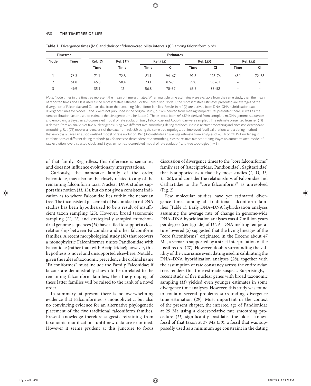| <b>Timetree</b> |             | <b>Estimates</b> |             |           |           |           |            |                          |                          |
|-----------------|-------------|------------------|-------------|-----------|-----------|-----------|------------|--------------------------|--------------------------|
| Node            | <b>Time</b> | Ref. (2)         | Ref. (11)   | Ref. (12) |           | Ref. (29) |            | Ref. (32)                |                          |
|                 |             | <b>Time</b>      | <b>Time</b> | Time      | CI        | Time      | CI         | Time                     | CI                       |
|                 | 76.3        | 71.1             | 72.8        | 81.1      | $94 - 67$ | 91.3      | $113 - 76$ | 65.1                     | $72 - 58$                |
| っ               | 61.8        | 46.8             | 50.4        | 73.1      | $87 - 59$ | 77.0      | $96 - 63$  | $\overline{\phantom{0}}$ | -                        |
| 3               | 49.9        | 35.1             | 42          | 56.8      | $70 - 37$ | 65.5      | $83 - 52$  | $\overline{\phantom{0}}$ | $\overline{\phantom{0}}$ |

Table 1. Divergence times (Ma) and their confidence/credibility intervals (CI) among falconiform birds.

Note: Node times in the timetree represent the mean of time estimates. When multiple time estimates were available from the same study, then the mean of reported times and CIs is used as the representative estimate. For the unresolved Node 1, the representative estimates presented are averages of the divergence of Falconidae and Cathartidae from the remaining falconiform families. Results in ref. (2) are derived from DNA–DNA hybridization data; divergence times for Nodes 1 and 3 were not published in the original study, but are derived from melting temperatures presented there, as well as the same calibration factor used to estimate the divergence time for Node 2. The estimate from ref. (32) is derived from complete mtDNA genome sequences and employing a Bayesian autocorrelated model of rate evolution (only Falconidae and Accipitridae were sampled). The estimate presented from ref. (11) is derived from an analysis of five nuclear genes using two different rate-smoothing dating methods: closest-relative smoothing and ancestor-descendant smoothing. Ref. (29) reports a reanalysis of the data from ref. (33) using the same tree topology, but improved fossil calibrations and a dating method that employs a Bayesian autocorrelated model of rate evolution. Ref. (3) constitutes an average estimate from analyses of ~5 kb of mtDNA under eight combinations of different dating methods (n = 5: ancestor-descendent rate smoothing, closest-relative rate smoothing, Bayesian autocorrelated model of rate evolution, overdispersed clock, and Bayesian non-autocorrelated model of rate evolution) and tree topologies ( $n = 3$ ).

of that family. Regardless, this difference is semantic, and does not influence evolutionary interpretations.

Curiously, the namesake family of the order, Falconidae, may also not be closely related to any of the remaining falconiform taxa. Nuclear DNA studies support this notion (*11, 13*), but do not give a consistent indication as to where Falconidae lies within the neoavian tree. The inconsistent placement of Falconidae in mtDNA studies has been hypothesized to be a result of insufficient taxon sampling (*25*). However, broad taxonomic sampling (*11, 12*) and strategically sampled mitochondrial genome sequences (*14*) have failed to support a close relationship between Falconidae and other falconiform families. A recent morphological study (*10*) that recovers a monophyletic Falconiformes unites Pandionidae with Falconidae (rather than with Accipitridae); however, this hypothesis is novel and unsupported elsewhere. Notably, given the rules of taxonomic precedence the ordinal name "Falconiformes" must include the Family Falconidae; if falcons are demonstrably shown to be unrelated to the remaining falconiform families, then the grouping of these latter families will be raised to the rank of a novel order.

In summary, at present there is no overwhelming evidence that Falconiformes is monophyletic, but also no convincing evidence for an alternative phylogenetic placement of the five traditional falconiform families. Present knowledge therefore suggests refraining from taxonomic modifications until new data are examined. However it seems prudent at this juncture to focus

discussion of divergence times to the "core falconiforms" family set of ((Accipitridae, Pandionidae), Sagittariidae) that is supported as a clade by most studies (*2, 11, 13, 15, 26*), and consider the relationships of Falconidae and Cathartidae to the "core falconiforms" as unresolved (Fig. 2).

Few molecular studies have yet estimated divergence times among all traditional falconiform families (Table 1). Early DNA–DNA hybridization analyses assuming the average rate of change in genome-wide DNA–DNA hybridization analyses was 4.7 million years per degree (centigrade) of DNA–DNA melting temperature lowered (*2*) suggested that the living lineages of the "core falconiforms" originated in the Eocene about 47 Ma, a scenario supported by a strict interpretation of the fossil record (*27*). However, doubts surrounding the validity of the vicariance event dating used in calibrating the DNA–DNA hybridization analyses (*28*), together with the assumption of rate constancy across the entire avian tree, renders this time estimate suspect. Surprisingly, a recent study of five nuclear genes with broad taxonomic sampling (*11*) yielded even younger estimates in some divergence time analyses. However, this study was found to contain several problems surrounding divergence time estimation (*29*). Most important in the context of the present chapter, the inferred age of Pandionidae at 29 Ma using a closest-relative rate smoothing procedure (11) significantly postdates the oldest known fossil of that taxon at 37 Ma (*30*), a fossil that was supposedly used as a minimum age constraint in the dating